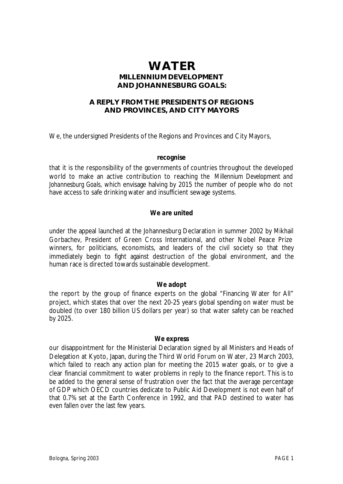# **WATER MILLENNIUM DEVELOPMENT AND JOHANNESBURG GOALS:**

## **A REPLY FROM THE PRESIDENTS OF REGIONS AND PROVINCES, AND CITY MAYORS**

We, the undersigned Presidents of the Regions and Provinces and City Mayors,

#### *recognise*

that it is the responsibility of the governments of countries throughout the developed world to make an active contribution to reaching the *Millennium Development and Johannesburg Goals,* which envisage halving by 2015 the number of people who do not have access to safe drinking water and insufficient sewage systems.

## *We are united*

under the appeal launched at the Johannesburg Declaration in summer 2002 by Mikhail Gorbachev, President of Green Cross International, and other Nobel Peace Prize winners, for politicians, economists, and leaders of the civil society so that they immediately begin to fight against destruction of the global environment, and the human race is directed towards sustainable development.

#### *We adopt*

the report by the group of finance experts on the global "Financing Water for All" project, which states that over the next 20-25 years global spending on water must be doubled (to over 180 billion US dollars per year) so that water safety can be reached by 2025.

#### *We express*

our disappointment for the Ministerial Declaration signed by all Ministers and Heads of Delegation at Kyoto, Japan, during the Third World Forum on Water, 23 March 2003, which failed to reach any action plan for meeting the 2015 water goals, or to give a clear financial commitment to water problems in reply to the finance report. This is to be added to the general sense of frustration over the fact that the average percentage of GDP which OECD countries dedicate to Public Aid Development is not even half of that 0.7% set at the Earth Conference in 1992, and that PAD destined to water has even fallen over the last few years.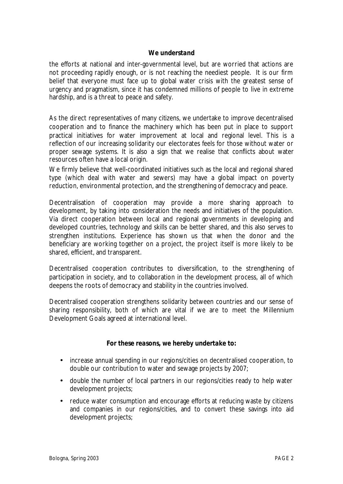### *We understand*

the efforts at national and inter-governmental level, but are worried that actions are not proceeding rapidly enough, or is not reaching the neediest people. It is our firm belief that everyone must face up to global water crisis with the greatest sense of urgency and pragmatism, since it has condemned millions of people to live in extreme hardship, and is a threat to peace and safety.

As the direct representatives of many citizens, we undertake to improve decentralised cooperation and to finance the machinery which has been put in place to support practical initiatives for water improvement at local and regional level. This is a reflection of our increasing solidarity our electorates feels for those without water or proper sewage systems. It is also a sign that we realise that conflicts about water resources often have a local origin.

We firmly believe that well-coordinated initiatives such as the local and regional shared type (which deal with water and sewers) may have a global impact on poverty reduction, environmental protection, and the strengthening of democracy and peace.

Decentralisation of cooperation may provide a more sharing approach to development, by taking into consideration the needs and initiatives of the population. Via direct cooperation between local and regional governments in developing and developed countries, technology and skills can be better shared, and this also serves to strengthen institutions. Experience has shown us that when the donor and the beneficiary are working together on a project, the project itself is more likely to be shared, efficient, and transparent.

Decentralised cooperation contributes to diversification, to the strengthening of participation in society, and to collaboration in the development process, all of which deepens the roots of democracy and stability in the countries involved.

Decentralised cooperation strengthens solidarity between countries and our sense of sharing responsibility, both of which are vital if we are to meet the Millennium Development Goals agreed at international level.

## *For these reasons, we hereby undertake to:*

- increase annual spending in our regions/cities on decentralised cooperation, to double our contribution to water and sewage projects by 2007;
- double the number of local partners in our regions/cities ready to help water development projects;
- reduce water consumption and encourage efforts at reducing waste by citizens and companies in our regions/cities, and to convert these savings into aid development projects;